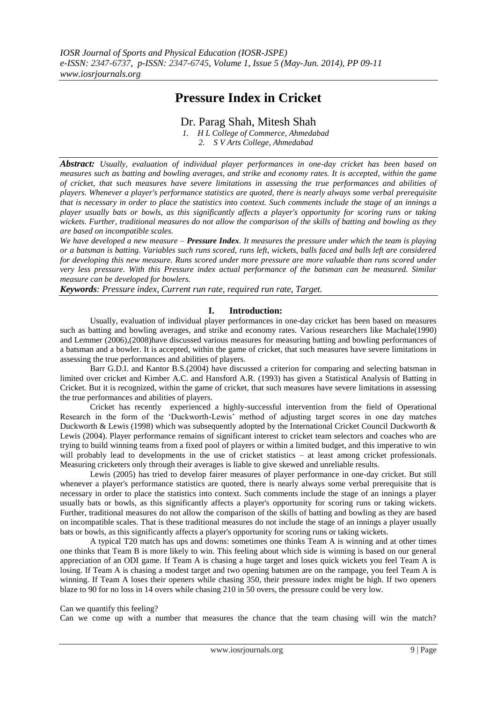# **Pressure Index in Cricket**

Dr. Parag Shah, Mitesh Shah

*1. H L College of Commerce, Ahmedabad*

*2. S V Arts College, Ahmedabad*

*Abstract: Usually, evaluation of individual player performances in one-day cricket has been based on measures such as batting and bowling averages, and strike and economy rates. It is accepted, within the game of cricket, that such measures have severe limitations in assessing the true performances and abilities of players. Whenever a player's performance statistics are quoted, there is nearly always some verbal prerequisite that is necessary in order to place the statistics into context. Such comments include the stage of an innings a player usually bats or bowls, as this significantly affects a player's opportunity for scoring runs or taking wickets. Further, traditional measures do not allow the comparison of the skills of batting and bowling as they are based on incompatible scales.*

*We have developed a new measure – Pressure Index. It measures the pressure under which the team is playing or a batsman is batting. Variables such runs scored, runs left, wickets, balls faced and balls left are considered for developing this new measure. Runs scored under more pressure are more valuable than runs scored under very less pressure. With this Pressure index actual performance of the batsman can be measured. Similar measure can be developed for bowlers.*

*Keywords: Pressure index, Current run rate, required run rate, Target.*

## **I. Introduction:**

Usually, evaluation of individual player performances in one-day cricket has been based on measures such as batting and bowling averages, and strike and economy rates. Various researchers like Machale(1990) and Lemmer (2006),(2008)have discussed various measures for measuring batting and bowling performances of a batsman and a bowler. It is accepted, within the game of cricket, that such measures have severe limitations in assessing the true performances and abilities of players.

Barr G.D.I. and Kantor B.S.(2004) have discussed a criterion for comparing and selecting batsman in limited over cricket and Kimber A.C. and Hansford A.R. (1993) has given a Statistical Analysis of Batting in Cricket. But it is recognized, within the game of cricket, that such measures have severe limitations in assessing the true performances and abilities of players.

Cricket has recently experienced a highly-successful intervention from the field of Operational Research in the form of the "Duckworth-Lewis" method of adjusting target scores in one day matches Duckworth & Lewis (1998) which was subsequently adopted by the International Cricket Council Duckworth & Lewis (2004). Player performance remains of significant interest to cricket team selectors and coaches who are trying to build winning teams from a fixed pool of players or within a limited budget, and this imperative to win will probably lead to developments in the use of cricket statistics – at least among cricket professionals. Measuring cricketers only through their averages is liable to give skewed and unreliable results.

Lewis (2005) has tried to develop fairer measures of player performance in one-day cricket. But still whenever a player's performance statistics are quoted, there is nearly always some verbal prerequisite that is necessary in order to place the statistics into context. Such comments include the stage of an innings a player usually bats or bowls, as this significantly affects a player's opportunity for scoring runs or taking wickets. Further, traditional measures do not allow the comparison of the skills of batting and bowling as they are based on incompatible scales. That is these traditional measures do not include the stage of an innings a player usually bats or bowls, as this significantly affects a player's opportunity for scoring runs or taking wickets.

A typical T20 match has ups and downs: sometimes one thinks Team A is winning and at other times one thinks that Team B is more likely to win. This feeling about which side is winning is based on our general appreciation of an ODI game. If Team A is chasing a huge target and loses quick wickets you feel Team A is losing. If Team A is chasing a modest target and two opening batsmen are on the rampage, you feel Team A is winning. If Team A loses their openers while chasing 350, their pressure index might be high. If two openers blaze to 90 for no loss in 14 overs while chasing 210 in 50 overs, the pressure could be very low.

### Can we quantify this feeling?

Can we come up with a number that measures the chance that the team chasing will win the match?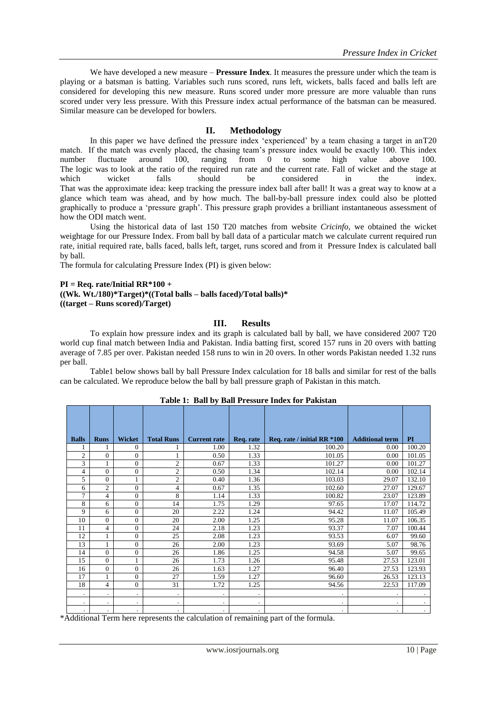We have developed a new measure – **Pressure Index**. It measures the pressure under which the team is playing or a batsman is batting. Variables such runs scored, runs left, wickets, balls faced and balls left are considered for developing this new measure. Runs scored under more pressure are more valuable than runs scored under very less pressure. With this Pressure index actual performance of the batsman can be measured. Similar measure can be developed for bowlers.

## **II. Methodology**

In this paper we have defined the pressure index "experienced" by a team chasing a target in anT20 match. If the match was evenly placed, the chasing team's pressure index would be exactly 100. This index number fluctuate around 100, ranging from 0 to some high value above 100. number fluctuate around 100, ranging from 0 to some high value above 100. The logic was to look at the ratio of the required run rate and the current rate. Fall of wicket and the stage at which wicket falls should be considered in the index. which wicket falls should be considered in the index. That was the approximate idea: keep tracking the pressure index ball after ball! It was a great way to know at a glance which team was ahead, and by how much. The ball-by-ball pressure index could also be plotted graphically to produce a "pressure graph". This pressure graph provides a brilliant instantaneous assessment of how the ODI match went.

Using the historical data of last 150 T20 matches from website *Cricinfo,* we obtained the wicket weightage for our Pressure Index. From ball by ball data of a particular match we calculate current required run rate, initial required rate, balls faced, balls left, target, runs scored and from it Pressure Index is calculated ball by ball.

The formula for calculating Pressure Index (PI) is given below:

#### **PI = Req. rate/Initial RR\*100 + ((Wk. Wt./180)\*Target)\*((Total balls – balls faced)/Total balls)\* ((target – Runs scored)/Target)**

## **III. Results**

To explain how pressure index and its graph is calculated ball by ball, we have considered 2007 T20 world cup final match between India and Pakistan. India batting first, scored 157 runs in 20 overs with batting average of 7.85 per over. Pakistan needed 158 runs to win in 20 overs. In other words Pakistan needed 1.32 runs per ball.

Table1 below shows ball by ball Pressure Index calculation for 18 balls and similar for rest of the balls can be calculated. We reproduce below the ball by ball pressure graph of Pakistan in this match.

| <b>Balls</b>   | <b>Runs</b>          | <b>Wicket</b>  | <b>Total Runs</b> | <b>Current rate</b> | Req. rate | Req. rate / initial RR *100 | <b>Additional term</b> | PI        |
|----------------|----------------------|----------------|-------------------|---------------------|-----------|-----------------------------|------------------------|-----------|
|                |                      | $\Omega$       |                   | 1.00                | 1.32      | 100.20                      | 0.00                   | 100.20    |
| $\overline{2}$ | $\mathbf{0}$         | $\Omega$       |                   | 0.50                | 1.33      | 101.05                      | 0.00                   | 101.05    |
| 3              | 1                    | $\Omega$       | $\overline{2}$    | 0.67                | 1.33      | 101.27                      | 0.00                   | 101.27    |
| 4              | $\Omega$             | $\Omega$       | $\overline{c}$    | 0.50                | 1.34      | 102.14                      | 0.00                   | 102.14    |
| 5              | $\theta$             | $\mathbf{1}$   | $\overline{2}$    | 0.40                | 1.36      | 103.03                      | 29.07                  | 132.10    |
| 6              | $\overline{2}$       | $\theta$       | 4                 | 0.67                | 1.35      | 102.60                      | 27.07                  | 129.67    |
| 7              | $\overline{4}$       | $\Omega$       | 8                 | 1.14                | 1.33      | 100.82                      | 23.07                  | 123.89    |
| 8              | 6                    | $\Omega$       | 14                | 1.75                | 1.29      | 97.65                       | 17.07                  | 114.72    |
| 9              | 6                    | $\mathbf{0}$   | 20                | 2.22                | 1.24      | 94.42                       | 11.07                  | 105.49    |
| 10             | $\Omega$             | $\Omega$       | 20                | 2.00                | 1.25      | 95.28                       | 11.07                  | 106.35    |
| 11             | $\overline{4}$       | $\Omega$       | 24                | 2.18                | 1.23      | 93.37                       | 7.07                   | 100.44    |
| 12             | $\mathbf{1}$         | $\theta$       | 25                | 2.08                | 1.23      | 93.53                       | 6.07                   | 99.60     |
| 13             | 1                    | $\theta$       | 26                | 2.00                | 1.23      | 93.69                       | 5.07                   | 98.76     |
| 14             | $\Omega$             | $\theta$       | 26                | 1.86                | 1.25      | 94.58                       | 5.07                   | 99.65     |
| 15             | $\Omega$             |                | 26                | 1.73                | 1.26      | 95.48                       | 27.53                  | 123.01    |
| 16             | $\Omega$             | $\Omega$       | 26                | 1.63                | 1.27      | 96.40                       | 27.53                  | 123.93    |
| 17             |                      | $\Omega$       | 27                | 1.59                | 1.27      | 96.60                       | 26.53                  | 123.13    |
| 18             | $\overline{4}$       | $\Omega$       | 31                | 1.72                | 1.25      | 94.56                       | 22.53                  | 117.09    |
|                | $\cdot$              | $\blacksquare$ | $\cdot$           | $\cdot$             |           |                             |                        |           |
|                | $\cdot$              | $\cdot$        | $\bullet$         | $\cdot$             |           |                             | $\blacksquare$         | $\bullet$ |
|                | $\ddot{\phantom{0}}$ | $\cdot$        | $\cdot$           | $\cdot$             | $\cdot$   | $\cdot$                     | $\cdot$                | $\cdot$   |

## **Table 1: Ball by Ball Pressure Index for Pakistan**

\*Additional Term here represents the calculation of remaining part of the formula.